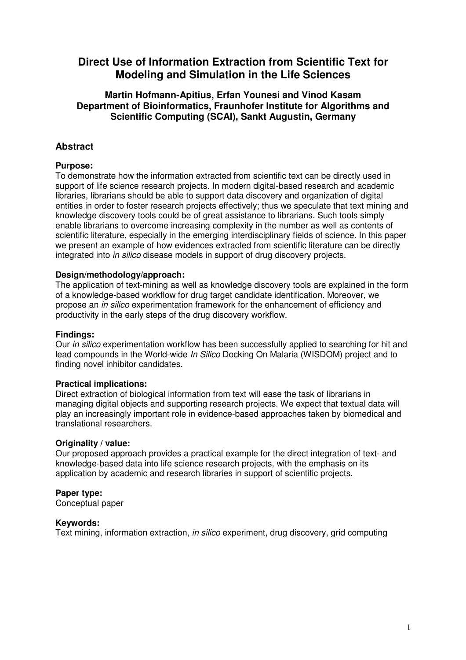# **Direct Use of Information Extraction from Scientific Text for Modeling and Simulation in the Life Sciences**

## **Martin Hofmann-Apitius, Erfan Younesi and Vinod Kasam Department of Bioinformatics, Fraunhofer Institute for Algorithms and Scientific Computing (SCAI), Sankt Augustin, Germany**

## **Abstract**

## **Purpose:**

To demonstrate how the information extracted from scientific text can be directly used in support of life science research projects. In modern digital-based research and academic libraries, librarians should be able to support data discovery and organization of digital entities in order to foster research projects effectively; thus we speculate that text mining and knowledge discovery tools could be of great assistance to librarians. Such tools simply enable librarians to overcome increasing complexity in the number as well as contents of scientific literature, especially in the emerging interdisciplinary fields of science. In this paper we present an example of how evidences extracted from scientific literature can be directly integrated into in silico disease models in support of drug discovery projects.

## **Design/methodology/approach:**

The application of text-mining as well as knowledge discovery tools are explained in the form of a knowledge-based workflow for drug target candidate identification. Moreover, we propose an in silico experimentation framework for the enhancement of efficiency and productivity in the early steps of the drug discovery workflow.

## **Findings:**

Our in silico experimentation workflow has been successfully applied to searching for hit and lead compounds in the World-wide In Silico Docking On Malaria (WISDOM) project and to finding novel inhibitor candidates.

## **Practical implications:**

Direct extraction of biological information from text will ease the task of librarians in managing digital objects and supporting research projects. We expect that textual data will play an increasingly important role in evidence-based approaches taken by biomedical and translational researchers.

## **Originality / value:**

Our proposed approach provides a practical example for the direct integration of text- and knowledge-based data into life science research projects, with the emphasis on its application by academic and research libraries in support of scientific projects.

## **Paper type:**

Conceptual paper

## **Keywords:**

Text mining, information extraction, in silico experiment, drug discovery, grid computing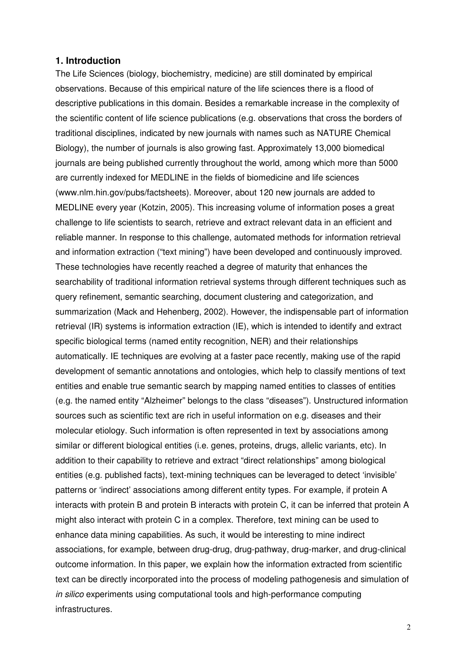## **1. Introduction**

The Life Sciences (biology, biochemistry, medicine) are still dominated by empirical observations. Because of this empirical nature of the life sciences there is a flood of descriptive publications in this domain. Besides a remarkable increase in the complexity of the scientific content of life science publications (e.g. observations that cross the borders of traditional disciplines, indicated by new journals with names such as NATURE Chemical Biology), the number of journals is also growing fast. Approximately 13,000 biomedical journals are being published currently throughout the world, among which more than 5000 are currently indexed for MEDLINE in the fields of biomedicine and life sciences (www.nlm.hin.gov/pubs/factsheets). Moreover, about 120 new journals are added to MEDLINE every year (Kotzin, 2005). This increasing volume of information poses a great challenge to life scientists to search, retrieve and extract relevant data in an efficient and reliable manner. In response to this challenge, automated methods for information retrieval and information extraction ("text mining") have been developed and continuously improved. These technologies have recently reached a degree of maturity that enhances the searchability of traditional information retrieval systems through different techniques such as query refinement, semantic searching, document clustering and categorization, and summarization (Mack and Hehenberg, 2002). However, the indispensable part of information retrieval (IR) systems is information extraction (IE), which is intended to identify and extract specific biological terms (named entity recognition, NER) and their relationships automatically. IE techniques are evolving at a faster pace recently, making use of the rapid development of semantic annotations and ontologies, which help to classify mentions of text entities and enable true semantic search by mapping named entities to classes of entities (e.g. the named entity "Alzheimer" belongs to the class "diseases"). Unstructured information sources such as scientific text are rich in useful information on e.g. diseases and their molecular etiology. Such information is often represented in text by associations among similar or different biological entities (i.e. genes, proteins, drugs, allelic variants, etc). In addition to their capability to retrieve and extract "direct relationships" among biological entities (e.g. published facts), text-mining techniques can be leveraged to detect 'invisible' patterns or 'indirect' associations among different entity types. For example, if protein A interacts with protein B and protein B interacts with protein C, it can be inferred that protein A might also interact with protein C in a complex. Therefore, text mining can be used to enhance data mining capabilities. As such, it would be interesting to mine indirect associations, for example, between drug-drug, drug-pathway, drug-marker, and drug-clinical outcome information. In this paper, we explain how the information extracted from scientific text can be directly incorporated into the process of modeling pathogenesis and simulation of in silico experiments using computational tools and high-performance computing infrastructures.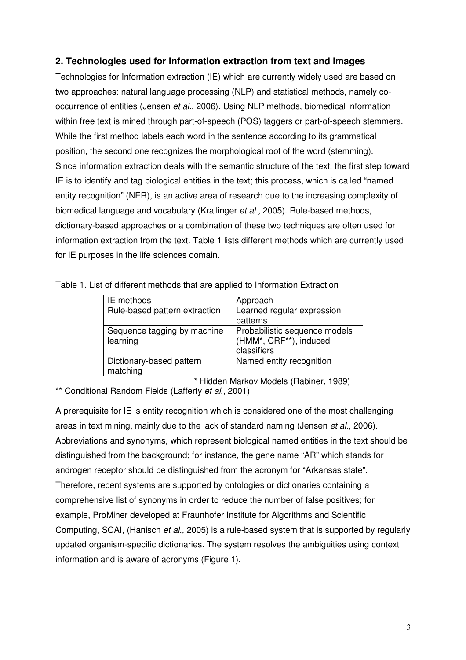## **2. Technologies used for information extraction from text and images**

Technologies for Information extraction (IE) which are currently widely used are based on two approaches: natural language processing (NLP) and statistical methods, namely cooccurrence of entities (Jensen et al., 2006). Using NLP methods, biomedical information within free text is mined through part-of-speech (POS) taggers or part-of-speech stemmers. While the first method labels each word in the sentence according to its grammatical position, the second one recognizes the morphological root of the word (stemming). Since information extraction deals with the semantic structure of the text, the first step toward IE is to identify and tag biological entities in the text; this process, which is called "named entity recognition" (NER), is an active area of research due to the increasing complexity of biomedical language and vocabulary (Krallinger et al., 2005). Rule-based methods, dictionary-based approaches or a combination of these two techniques are often used for information extraction from the text. Table 1 lists different methods which are currently used for IE purposes in the life sciences domain.

| IE methods                              | Approach                                                               |
|-----------------------------------------|------------------------------------------------------------------------|
| Rule-based pattern extraction           | Learned regular expression                                             |
|                                         | patterns                                                               |
| Sequence tagging by machine<br>learning | Probabilistic sequence models<br>(HMM*, CRF**), induced<br>classifiers |
| Dictionary-based pattern<br>matching    | Named entity recognition                                               |

Table 1. List of different methods that are applied to Information Extraction

\* Hidden Markov Models (Rabiner, 1989)

\*\* Conditional Random Fields (Lafferty et al., 2001)

A prerequisite for IE is entity recognition which is considered one of the most challenging areas in text mining, mainly due to the lack of standard naming (Jensen et al., 2006). Abbreviations and synonyms, which represent biological named entities in the text should be distinguished from the background; for instance, the gene name "AR" which stands for androgen receptor should be distinguished from the acronym for "Arkansas state". Therefore, recent systems are supported by ontologies or dictionaries containing a comprehensive list of synonyms in order to reduce the number of false positives; for example, ProMiner developed at Fraunhofer Institute for Algorithms and Scientific Computing, SCAI, (Hanisch et al., 2005) is a rule-based system that is supported by regularly updated organism-specific dictionaries. The system resolves the ambiguities using context information and is aware of acronyms (Figure 1).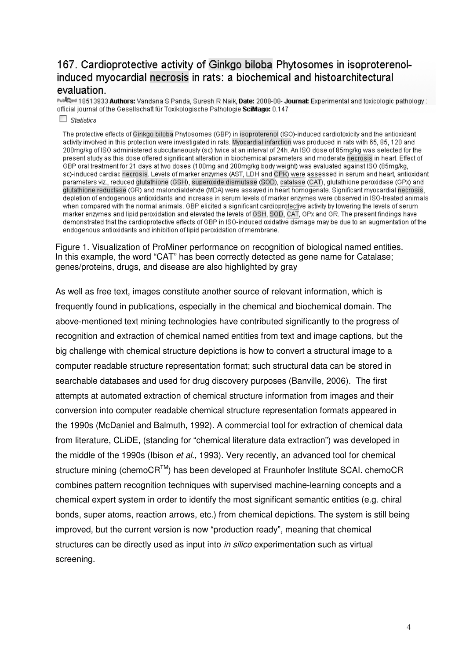# 167. Cardioprotective activity of Ginkgo biloba Phytosomes in isoproterenolinduced myocardial necrosis in rats: a biochemical and histoarchitectural evaluation.

Publiced 18513933 Authors: Vandana S Panda, Suresh R Naik, Date: 2008-08- Journal: Experimental and toxicologic pathology : official journal of the Gesellschaft für Toxikologische Pathologie SciMago: 0.147

 $\Box$  Statistics

The protective effects of Ginkgo biloba Phytosomes (GBP) in isoproterenol (ISO)-induced cardiotoxicity and the antioxidant activity involved in this protection were investigated in rats. Myocardial infarction was produced in rats with 65, 85, 120 and 200mg/kg of ISO administered subcutaneously (sc) twice at an interval of 24h. An ISO dose of 85mg/kg was selected for the present study as this dose offered significant alteration in biochemical parameters and moderate necrosis in heart. Effect of GBP oral treatment for 21 days at two doses (100mg and 200mg/kg body weight) was evaluated against ISO (85mg/kg, sc)-induced cardiac necrosis. Levels of marker enzymes (AST, LDH and CPK) were assessed in serum and heart, antioxidant parameters viz., reduced glutathione (GSH), superoxide dismutase (SOD), catalase (CAT), glutathione peroxidase (GPx) and glutathione reductase (GR) and malondialdehde (MDA) were assayed in heart homogenate. Significant myocardial necrosis, depletion of endogenous antioxidants and increase in serum levels of marker enzymes were observed in ISO-treated animals when compared with the normal animals. GBP elicited a significant cardioprotective activity by lowering the levels of serum marker enzymes and lipid peroxidation and elevated the levels of GSH, SOD, CAT, GPx and GR. The present findings have demonstrated that the cardioprotective effects of GBP in ISO-induced oxidative damage may be due to an augmentation of the endogenous antioxidants and inhibition of lipid peroxidation of membrane.

Figure 1. Visualization of ProMiner performance on recognition of biological named entities. In this example, the word "CAT" has been correctly detected as gene name for Catalase; genes/proteins, drugs, and disease are also highlighted by gray

As well as free text, images constitute another source of relevant information, which is frequently found in publications, especially in the chemical and biochemical domain. The above-mentioned text mining technologies have contributed significantly to the progress of recognition and extraction of chemical named entities from text and image captions, but the big challenge with chemical structure depictions is how to convert a structural image to a computer readable structure representation format; such structural data can be stored in searchable databases and used for drug discovery purposes (Banville, 2006). The first attempts at automated extraction of chemical structure information from images and their conversion into computer readable chemical structure representation formats appeared in the 1990s (McDaniel and Balmuth, 1992). A commercial tool for extraction of chemical data from literature, CLiDE, (standing for "chemical literature data extraction") was developed in the middle of the 1990s (Ibison et al., 1993). Very recently, an advanced tool for chemical structure mining (chemoCR<sup>™</sup>) has been developed at Fraunhofer Institute SCAI. chemoCR combines pattern recognition techniques with supervised machine-learning concepts and a chemical expert system in order to identify the most significant semantic entities (e.g. chiral bonds, super atoms, reaction arrows, etc.) from chemical depictions. The system is still being improved, but the current version is now "production ready", meaning that chemical structures can be directly used as input into *in silico* experimentation such as virtual screening.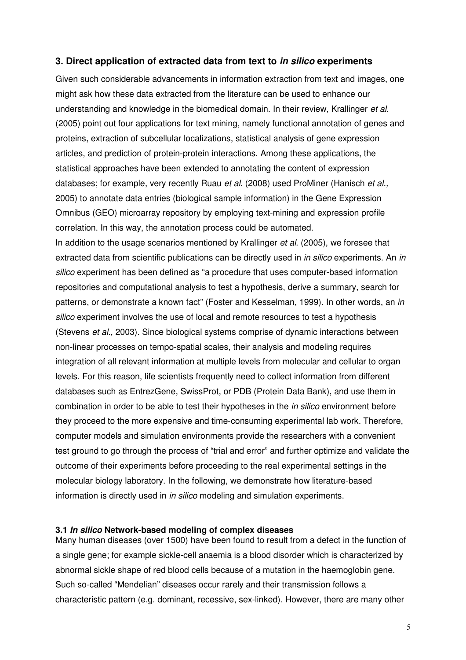## **3. Direct application of extracted data from text to in silico experiments**

Given such considerable advancements in information extraction from text and images, one might ask how these data extracted from the literature can be used to enhance our understanding and knowledge in the biomedical domain. In their review, Krallinger et al. (2005) point out four applications for text mining, namely functional annotation of genes and proteins, extraction of subcellular localizations, statistical analysis of gene expression articles, and prediction of protein-protein interactions. Among these applications, the statistical approaches have been extended to annotating the content of expression databases; for example, very recently Ruau et al. (2008) used ProMiner (Hanisch et al., 2005) to annotate data entries (biological sample information) in the Gene Expression Omnibus (GEO) microarray repository by employing text-mining and expression profile correlation. In this way, the annotation process could be automated.

In addition to the usage scenarios mentioned by Krallinger et al. (2005), we foresee that extracted data from scientific publications can be directly used in *in silico* experiments. An *in* silico experiment has been defined as "a procedure that uses computer-based information repositories and computational analysis to test a hypothesis, derive a summary, search for patterns, or demonstrate a known fact" (Foster and Kesselman, 1999). In other words, an in silico experiment involves the use of local and remote resources to test a hypothesis (Stevens et al., 2003). Since biological systems comprise of dynamic interactions between non-linear processes on tempo-spatial scales, their analysis and modeling requires integration of all relevant information at multiple levels from molecular and cellular to organ levels. For this reason, life scientists frequently need to collect information from different databases such as EntrezGene, SwissProt, or PDB (Protein Data Bank), and use them in combination in order to be able to test their hypotheses in the *in silico* environment before they proceed to the more expensive and time-consuming experimental lab work. Therefore, computer models and simulation environments provide the researchers with a convenient test ground to go through the process of "trial and error" and further optimize and validate the outcome of their experiments before proceeding to the real experimental settings in the molecular biology laboratory. In the following, we demonstrate how literature-based information is directly used in *in silico* modeling and simulation experiments.

#### **3.1 In silico Network-based modeling of complex diseases**

Many human diseases (over 1500) have been found to result from a defect in the function of a single gene; for example sickle-cell anaemia is a blood disorder which is characterized by abnormal sickle shape of red blood cells because of a mutation in the haemoglobin gene. Such so-called "Mendelian" diseases occur rarely and their transmission follows a characteristic pattern (e.g. dominant, recessive, sex-linked). However, there are many other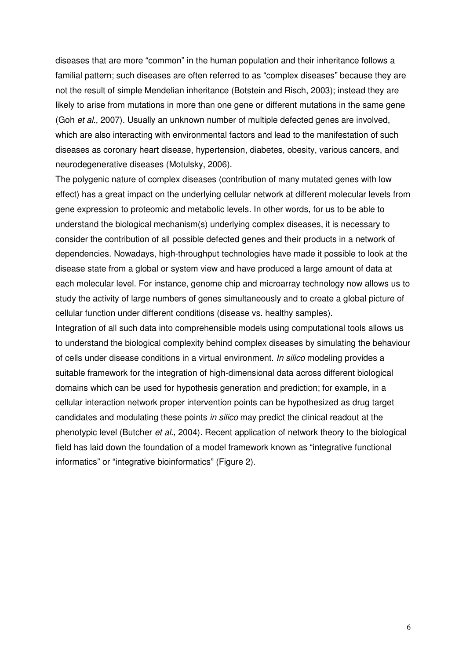diseases that are more "common" in the human population and their inheritance follows a familial pattern; such diseases are often referred to as "complex diseases" because they are not the result of simple Mendelian inheritance (Botstein and Risch, 2003); instead they are likely to arise from mutations in more than one gene or different mutations in the same gene (Goh et al., 2007). Usually an unknown number of multiple defected genes are involved, which are also interacting with environmental factors and lead to the manifestation of such diseases as coronary heart disease, hypertension, diabetes, obesity, various cancers, and neurodegenerative diseases (Motulsky, 2006).

The polygenic nature of complex diseases (contribution of many mutated genes with low effect) has a great impact on the underlying cellular network at different molecular levels from gene expression to proteomic and metabolic levels. In other words, for us to be able to understand the biological mechanism(s) underlying complex diseases, it is necessary to consider the contribution of all possible defected genes and their products in a network of dependencies. Nowadays, high-throughput technologies have made it possible to look at the disease state from a global or system view and have produced a large amount of data at each molecular level. For instance, genome chip and microarray technology now allows us to study the activity of large numbers of genes simultaneously and to create a global picture of cellular function under different conditions (disease vs. healthy samples).

Integration of all such data into comprehensible models using computational tools allows us to understand the biological complexity behind complex diseases by simulating the behaviour of cells under disease conditions in a virtual environment. In silico modeling provides a suitable framework for the integration of high-dimensional data across different biological domains which can be used for hypothesis generation and prediction; for example, in a cellular interaction network proper intervention points can be hypothesized as drug target candidates and modulating these points in silico may predict the clinical readout at the phenotypic level (Butcher et al., 2004). Recent application of network theory to the biological field has laid down the foundation of a model framework known as "integrative functional informatics" or "integrative bioinformatics" (Figure 2).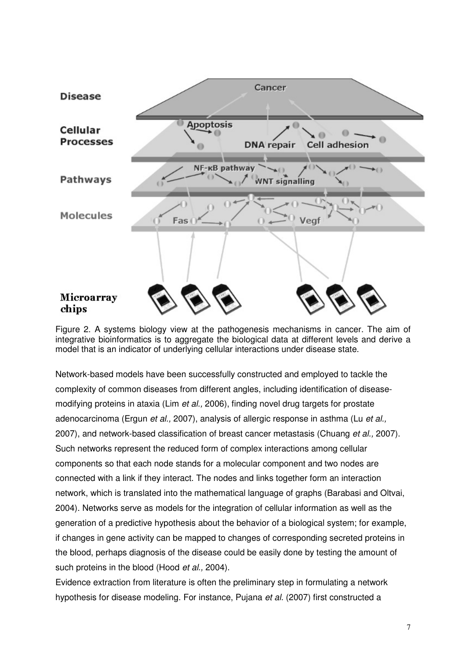

Figure 2. A systems biology view at the pathogenesis mechanisms in cancer. The aim of integrative bioinformatics is to aggregate the biological data at different levels and derive a model that is an indicator of underlying cellular interactions under disease state.

Network-based models have been successfully constructed and employed to tackle the complexity of common diseases from different angles, including identification of diseasemodifying proteins in ataxia (Lim et al., 2006), finding novel drug targets for prostate adenocarcinoma (Ergun et al., 2007), analysis of allergic response in asthma (Lu et al., 2007), and network-based classification of breast cancer metastasis (Chuang et al., 2007). Such networks represent the reduced form of complex interactions among cellular components so that each node stands for a molecular component and two nodes are connected with a link if they interact. The nodes and links together form an interaction network, which is translated into the mathematical language of graphs (Barabasi and Oltvai, 2004). Networks serve as models for the integration of cellular information as well as the generation of a predictive hypothesis about the behavior of a biological system; for example, if changes in gene activity can be mapped to changes of corresponding secreted proteins in the blood, perhaps diagnosis of the disease could be easily done by testing the amount of such proteins in the blood (Hood et al., 2004).

Evidence extraction from literature is often the preliminary step in formulating a network hypothesis for disease modeling. For instance, Pujana et al. (2007) first constructed a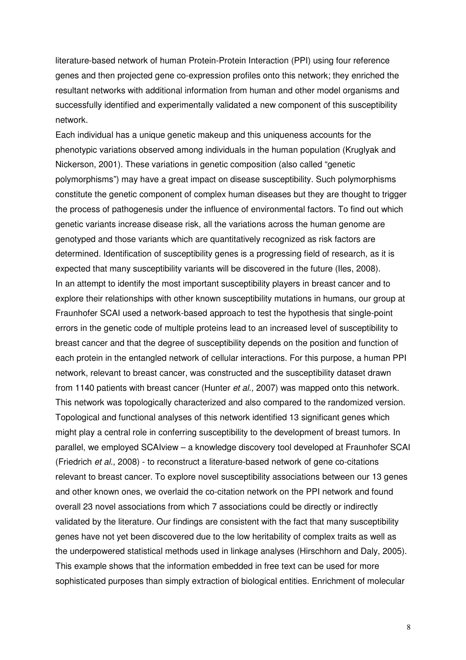literature-based network of human Protein-Protein Interaction (PPI) using four reference genes and then projected gene co-expression profiles onto this network; they enriched the resultant networks with additional information from human and other model organisms and successfully identified and experimentally validated a new component of this susceptibility network.

Each individual has a unique genetic makeup and this uniqueness accounts for the phenotypic variations observed among individuals in the human population (Kruglyak and Nickerson, 2001). These variations in genetic composition (also called "genetic polymorphisms") may have a great impact on disease susceptibility. Such polymorphisms constitute the genetic component of complex human diseases but they are thought to trigger the process of pathogenesis under the influence of environmental factors. To find out which genetic variants increase disease risk, all the variations across the human genome are genotyped and those variants which are quantitatively recognized as risk factors are determined. Identification of susceptibility genes is a progressing field of research, as it is expected that many susceptibility variants will be discovered in the future (Iles, 2008). In an attempt to identify the most important susceptibility players in breast cancer and to explore their relationships with other known susceptibility mutations in humans, our group at Fraunhofer SCAI used a network-based approach to test the hypothesis that single-point errors in the genetic code of multiple proteins lead to an increased level of susceptibility to breast cancer and that the degree of susceptibility depends on the position and function of each protein in the entangled network of cellular interactions. For this purpose, a human PPI network, relevant to breast cancer, was constructed and the susceptibility dataset drawn from 1140 patients with breast cancer (Hunter et al., 2007) was mapped onto this network. This network was topologically characterized and also compared to the randomized version. Topological and functional analyses of this network identified 13 significant genes which might play a central role in conferring susceptibility to the development of breast tumors. In parallel, we employed SCAIview – a knowledge discovery tool developed at Fraunhofer SCAI (Friedrich et al., 2008) - to reconstruct a literature-based network of gene co-citations relevant to breast cancer. To explore novel susceptibility associations between our 13 genes and other known ones, we overlaid the co-citation network on the PPI network and found overall 23 novel associations from which 7 associations could be directly or indirectly validated by the literature. Our findings are consistent with the fact that many susceptibility genes have not yet been discovered due to the low heritability of complex traits as well as the underpowered statistical methods used in linkage analyses (Hirschhorn and Daly, 2005). This example shows that the information embedded in free text can be used for more sophisticated purposes than simply extraction of biological entities. Enrichment of molecular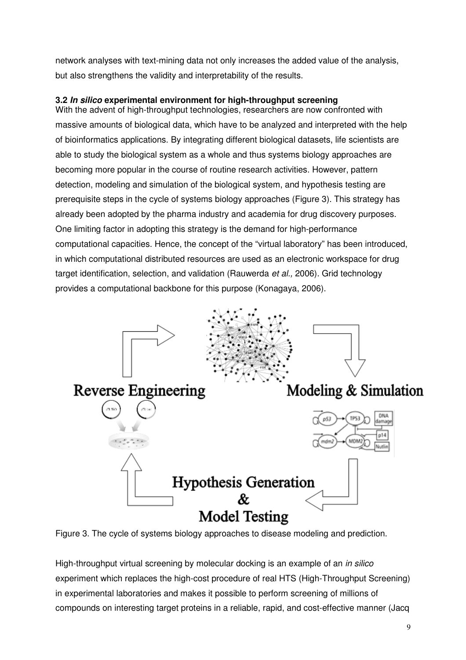network analyses with text-mining data not only increases the added value of the analysis, but also strengthens the validity and interpretability of the results.

## **3.2 In silico experimental environment for high-throughput screening**

With the advent of high-throughput technologies, researchers are now confronted with massive amounts of biological data, which have to be analyzed and interpreted with the help of bioinformatics applications. By integrating different biological datasets, life scientists are able to study the biological system as a whole and thus systems biology approaches are becoming more popular in the course of routine research activities. However, pattern detection, modeling and simulation of the biological system, and hypothesis testing are prerequisite steps in the cycle of systems biology approaches (Figure 3). This strategy has already been adopted by the pharma industry and academia for drug discovery purposes. One limiting factor in adopting this strategy is the demand for high-performance computational capacities. Hence, the concept of the "virtual laboratory" has been introduced, in which computational distributed resources are used as an electronic workspace for drug target identification, selection, and validation (Rauwerda et al., 2006). Grid technology provides a computational backbone for this purpose (Konagaya, 2006).



Figure 3. The cycle of systems biology approaches to disease modeling and prediction.

High-throughput virtual screening by molecular docking is an example of an *in silico* experiment which replaces the high-cost procedure of real HTS (High-Throughput Screening) in experimental laboratories and makes it possible to perform screening of millions of compounds on interesting target proteins in a reliable, rapid, and cost-effective manner (Jacq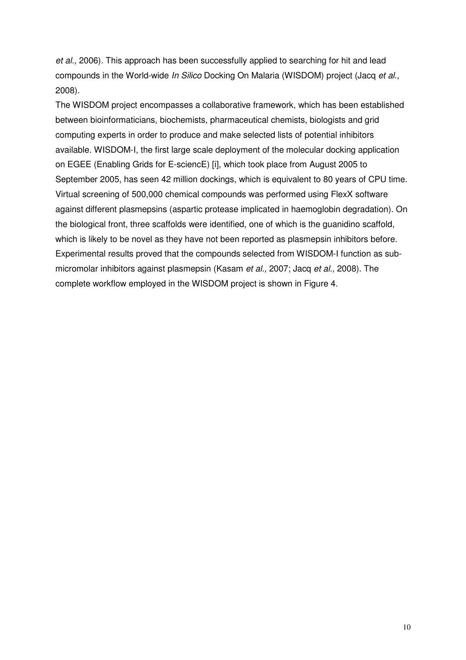et al., 2006). This approach has been successfully applied to searching for hit and lead compounds in the World-wide In Silico Docking On Malaria (WISDOM) project (Jacq et al., 2008).

The WISDOM project encompasses a collaborative framework, which has been established between bioinformaticians, biochemists, pharmaceutical chemists, biologists and grid computing experts in order to produce and make selected lists of potential inhibitors available. WISDOM-I, the first large scale deployment of the molecular docking application on EGEE (Enabling Grids for E-sciencE) [i], which took place from August 2005 to September 2005, has seen 42 million dockings, which is equivalent to 80 years of CPU time. Virtual screening of 500,000 chemical compounds was performed using FlexX software against different plasmepsins (aspartic protease implicated in haemoglobin degradation). On the biological front, three scaffolds were identified, one of which is the guanidino scaffold, which is likely to be novel as they have not been reported as plasmepsin inhibitors before. Experimental results proved that the compounds selected from WISDOM-I function as submicromolar inhibitors against plasmepsin (Kasam et al., 2007; Jacq et al., 2008). The complete workflow employed in the WISDOM project is shown in Figure 4.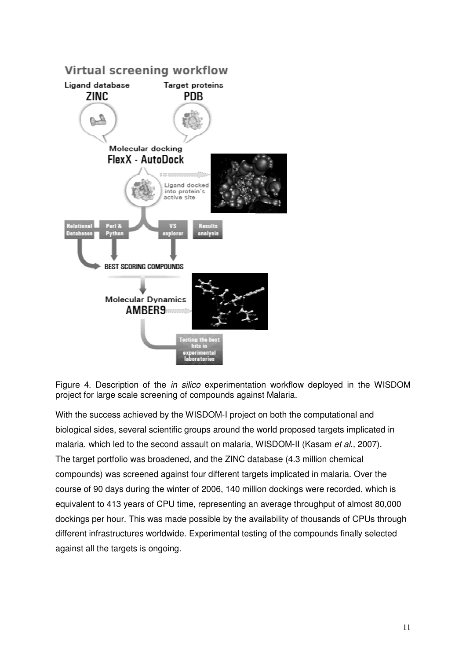

Figure 4. Description of the *in silico* experimentation workflow deployed in the WISDOM project for large scale screening of compounds against Malaria.

With the success achieved by the WISDOM-I project on both the computational and biological sides, several scientific groups around the world proposed targets implicated in malaria, which led to the second assault on malaria, WISDOM-II (Kasam et al., 2007). The target portfolio was broadened, and the ZINC database (4.3 million chemical compounds) was screened against four different targets implicated in malaria. Over the course of 90 days during the winter of 2006, 140 million dockings were recorded, which is equivalent to 413 years of CPU time, representing an average throughput of almost 80,000 dockings per hour. This was made possible by the availability of thousands of CPUs through different infrastructures worldwide. Experimental testing of the compounds finally selected against all the targets is ongoing.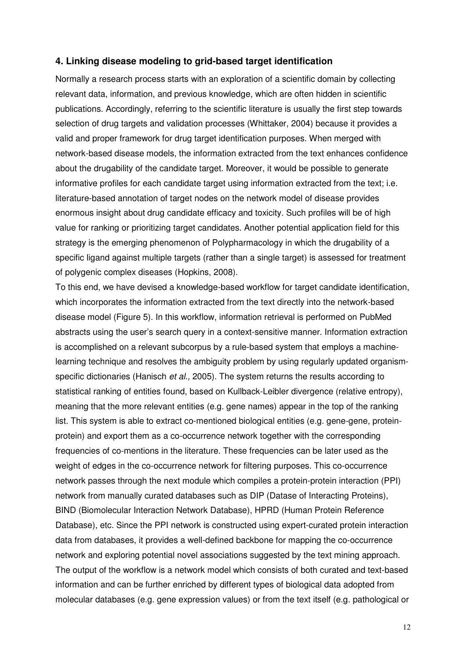## **4. Linking disease modeling to grid-based target identification**

Normally a research process starts with an exploration of a scientific domain by collecting relevant data, information, and previous knowledge, which are often hidden in scientific publications. Accordingly, referring to the scientific literature is usually the first step towards selection of drug targets and validation processes (Whittaker, 2004) because it provides a valid and proper framework for drug target identification purposes. When merged with network-based disease models, the information extracted from the text enhances confidence about the drugability of the candidate target. Moreover, it would be possible to generate informative profiles for each candidate target using information extracted from the text; i.e. literature-based annotation of target nodes on the network model of disease provides enormous insight about drug candidate efficacy and toxicity. Such profiles will be of high value for ranking or prioritizing target candidates. Another potential application field for this strategy is the emerging phenomenon of Polypharmacology in which the drugability of a specific ligand against multiple targets (rather than a single target) is assessed for treatment of polygenic complex diseases (Hopkins, 2008).

To this end, we have devised a knowledge-based workflow for target candidate identification, which incorporates the information extracted from the text directly into the network-based disease model (Figure 5). In this workflow, information retrieval is performed on PubMed abstracts using the user's search query in a context-sensitive manner. Information extraction is accomplished on a relevant subcorpus by a rule-based system that employs a machinelearning technique and resolves the ambiguity problem by using regularly updated organismspecific dictionaries (Hanisch et al., 2005). The system returns the results according to statistical ranking of entities found, based on Kullback-Leibler divergence (relative entropy), meaning that the more relevant entities (e.g. gene names) appear in the top of the ranking list. This system is able to extract co-mentioned biological entities (e.g. gene-gene, proteinprotein) and export them as a co-occurrence network together with the corresponding frequencies of co-mentions in the literature. These frequencies can be later used as the weight of edges in the co-occurrence network for filtering purposes. This co-occurrence network passes through the next module which compiles a protein-protein interaction (PPI) network from manually curated databases such as DIP (Datase of Interacting Proteins), BIND (Biomolecular Interaction Network Database), HPRD (Human Protein Reference Database), etc. Since the PPI network is constructed using expert-curated protein interaction data from databases, it provides a well-defined backbone for mapping the co-occurrence network and exploring potential novel associations suggested by the text mining approach. The output of the workflow is a network model which consists of both curated and text-based information and can be further enriched by different types of biological data adopted from molecular databases (e.g. gene expression values) or from the text itself (e.g. pathological or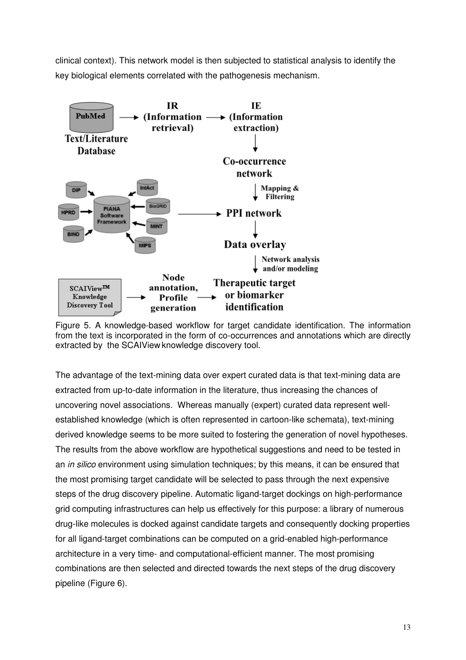clinical context). This network model is then subjected to statistical analysis to identify the key biological elements correlated with the pathogenesis mechanism.



Figure 5. A knowledge-based workflow for target candidate identification. The information from the text is incorporated in the form of co-occurrences and annotations which are directly extracted by the SCAIView knowledge discovery tool.

The advantage of the text-mining data over expert curated data is that text-mining data are extracted from up-to-date information in the literature, thus increasing the chances of uncovering novel associations. Whereas manually (expert) curated data represent wellestablished knowledge (which is often represented in cartoon-like schemata), text-mining derived knowledge seems to be more suited to fostering the generation of novel hypotheses. The results from the above workflow are hypothetical suggestions and need to be tested in an in silico environment using simulation techniques; by this means, it can be ensured that the most promising target candidate will be selected to pass through the next expensive steps of the drug discovery pipeline. Automatic ligand-target dockings on high-performance grid computing infrastructures can help us effectively for this purpose: a library of numerous drug-like molecules is docked against candidate targets and consequently docking properties for all ligand-target combinations can be computed on a grid-enabled high-performance architecture in a very time- and computational-efficient manner. The most promising combinations are then selected and directed towards the next steps of the drug discovery pipeline (Figure 6).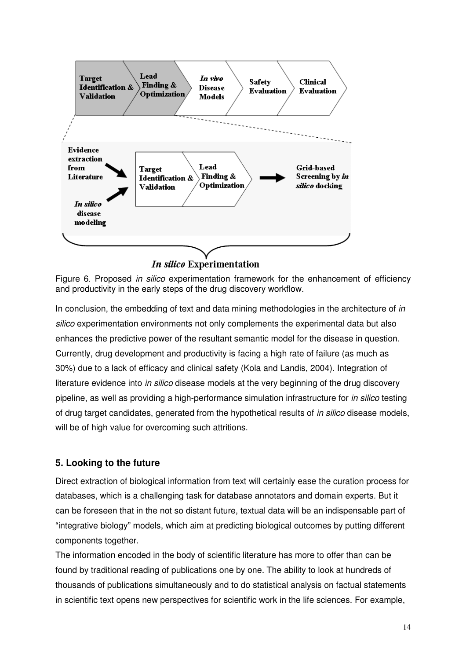

Figure 6. Proposed in silico experimentation framework for the enhancement of efficiency and productivity in the early steps of the drug discovery workflow.

In conclusion, the embedding of text and data mining methodologies in the architecture of in silico experimentation environments not only complements the experimental data but also enhances the predictive power of the resultant semantic model for the disease in question. Currently, drug development and productivity is facing a high rate of failure (as much as 30%) due to a lack of efficacy and clinical safety (Kola and Landis, 2004). Integration of literature evidence into in silico disease models at the very beginning of the drug discovery pipeline, as well as providing a high-performance simulation infrastructure for in silico testing of drug target candidates, generated from the hypothetical results of *in silico* disease models, will be of high value for overcoming such attritions.

## **5. Looking to the future**

Direct extraction of biological information from text will certainly ease the curation process for databases, which is a challenging task for database annotators and domain experts. But it can be foreseen that in the not so distant future, textual data will be an indispensable part of "integrative biology" models, which aim at predicting biological outcomes by putting different components together.

The information encoded in the body of scientific literature has more to offer than can be found by traditional reading of publications one by one. The ability to look at hundreds of thousands of publications simultaneously and to do statistical analysis on factual statements in scientific text opens new perspectives for scientific work in the life sciences. For example,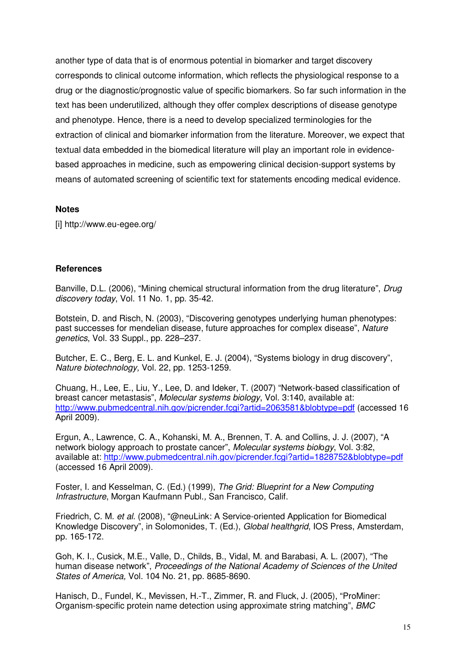another type of data that is of enormous potential in biomarker and target discovery corresponds to clinical outcome information, which reflects the physiological response to a drug or the diagnostic/prognostic value of specific biomarkers. So far such information in the text has been underutilized, although they offer complex descriptions of disease genotype and phenotype. Hence, there is a need to develop specialized terminologies for the extraction of clinical and biomarker information from the literature. Moreover, we expect that textual data embedded in the biomedical literature will play an important role in evidencebased approaches in medicine, such as empowering clinical decision-support systems by means of automated screening of scientific text for statements encoding medical evidence.

#### **Notes**

[i] http://www.eu-egee.org/

## **References**

Banville, D.L. (2006), "Mining chemical structural information from the drug literature", Drug discovery today, Vol. 11 No. 1, pp. 35-42.

Botstein, D. and Risch, N. (2003), "Discovering genotypes underlying human phenotypes: past successes for mendelian disease, future approaches for complex disease", Nature genetics, Vol. 33 Suppl., pp. 228–237.

Butcher, E. C., Berg, E. L. and Kunkel, E. J. (2004), "Systems biology in drug discovery", Nature biotechnology, Vol. 22, pp. 1253-1259.

Chuang, H., Lee, E., Liu, Y., Lee, D. and Ideker, T. (2007) "Network-based classification of breast cancer metastasis", Molecular systems biology, Vol. 3:140, available at: http://www.pubmedcentral.nih.gov/picrender.fcgi?artid=2063581&blobtype=pdf (accessed 16 April 2009).

Ergun, A., Lawrence, C. A., Kohanski, M. A., Brennen, T. A. and Collins, J. J. (2007), "A network biology approach to prostate cancer", Molecular systems biology, Vol. 3:82, available at: http://www.pubmedcentral.nih.gov/picrender.fcgi?artid=1828752&blobtype=pdf (accessed 16 April 2009).

Foster, I. and Kesselman, C. (Ed.) (1999), The Grid: Blueprint for a New Computing Infrastructure, Morgan Kaufmann Publ., San Francisco, Calif.

Friedrich, C. M. et al. (2008), "@neuLink: A Service-oriented Application for Biomedical Knowledge Discovery", in Solomonides, T. (Ed.), Global healthgrid, IOS Press, Amsterdam, pp. 165-172.

Goh, K. I., Cusick, M.E., Valle, D., Childs, B., Vidal, M. and Barabasi, A. L. (2007), "The human disease network", Proceedings of the National Academy of Sciences of the United States of America, Vol. 104 No. 21, pp. 8685-8690.

Hanisch, D., Fundel, K., Mevissen, H.-T., Zimmer, R. and Fluck, J. (2005), "ProMiner: Organism-specific protein name detection using approximate string matching", BMC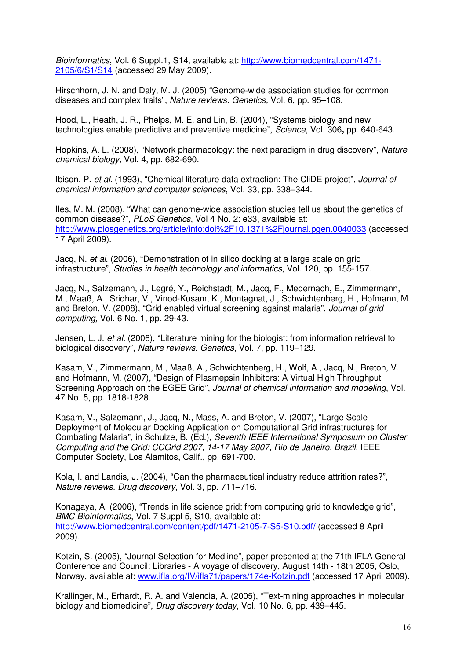Bioinformatics, Vol. 6 Suppl.1, S14, available at: http://www.biomedcentral.com/1471- 2105/6/S1/S14 (accessed 29 May 2009).

Hirschhorn, J. N. and Daly, M. J. (2005) "Genome-wide association studies for common diseases and complex traits", Nature reviews. Genetics, Vol. 6, pp. 95–108.

Hood, L., Heath, J. R., Phelps, M. E. and Lin, B. (2004), "Systems biology and new technologies enable predictive and preventive medicine", Science, Vol. 306**,** pp. 640-643.

Hopkins, A. L. (2008), "Network pharmacology: the next paradigm in drug discovery", Nature chemical biology, Vol. 4, pp. 682-690.

Ibison, P. et al. (1993), "Chemical literature data extraction: The CliDE project", Journal of chemical information and computer sciences, Vol. 33, pp. 338–344.

Iles, M. M. (2008), "What can genome-wide association studies tell us about the genetics of common disease?", PLoS Genetics, Vol 4 No. 2: e33, available at: http://www.plosgenetics.org/article/info:doi%2F10.1371%2Fjournal.pgen.0040033 (accessed 17 April 2009).

Jacq, N. et al. (2006), "Demonstration of in silico docking at a large scale on grid infrastructure", Studies in health technology and informatics, Vol. 120, pp. 155-157.

Jacq, N., Salzemann, J., Legré, Y., Reichstadt, M., Jacq, F., Medernach, E., Zimmermann, M., Maaß, A., Sridhar, V., Vinod-Kusam, K., Montagnat, J., Schwichtenberg, H., Hofmann, M. and Breton, V. (2008), "Grid enabled virtual screening against malaria", Journal of grid computing, Vol. 6 No. 1, pp. 29-43.

Jensen, L. J. et al. (2006), "Literature mining for the biologist: from information retrieval to biological discovery", Nature reviews. Genetics, Vol. 7, pp. 119–129.

Kasam, V., Zimmermann, M., Maaß, A., Schwichtenberg, H., Wolf, A., Jacq, N., Breton, V. and Hofmann, M. (2007), "Design of Plasmepsin Inhibitors: A Virtual High Throughput Screening Approach on the EGEE Grid", Journal of chemical information and modeling, Vol. 47 No. 5, pp. 1818-1828.

Kasam, V., Salzemann, J., Jacq, N., Mass, A. and Breton, V. (2007), "Large Scale Deployment of Molecular Docking Application on Computational Grid infrastructures for Combating Malaria", in Schulze, B. (Ed.), Seventh IEEE International Symposium on Cluster Computing and the Grid: CCGrid 2007, 14-17 May 2007, Rio de Janeiro, Brazil, IEEE Computer Society, Los Alamitos, Calif., pp. 691-700.

Kola, I. and Landis, J. (2004), "Can the pharmaceutical industry reduce attrition rates?", Nature reviews. Drug discovery, Vol. 3, pp. 711–716.

Konagaya, A. (2006), "Trends in life science grid: from computing grid to knowledge grid", BMC Bioinformatics, Vol. 7 Suppl 5, S10, available at: http://www.biomedcentral.com/content/pdf/1471-2105-7-S5-S10.pdf/ (accessed 8 April 2009).

Kotzin, S. (2005), "Journal Selection for Medline", paper presented at the 71th IFLA General Conference and Council: Libraries - A voyage of discovery, August 14th - 18th 2005, Oslo, Norway, available at: www.ifla.org/IV/ifla71/papers/174e-Kotzin.pdf (accessed 17 April 2009).

Krallinger, M., Erhardt, R. A. and Valencia, A. (2005), "Text-mining approaches in molecular biology and biomedicine", Drug discovery today, Vol. 10 No. 6, pp. 439–445.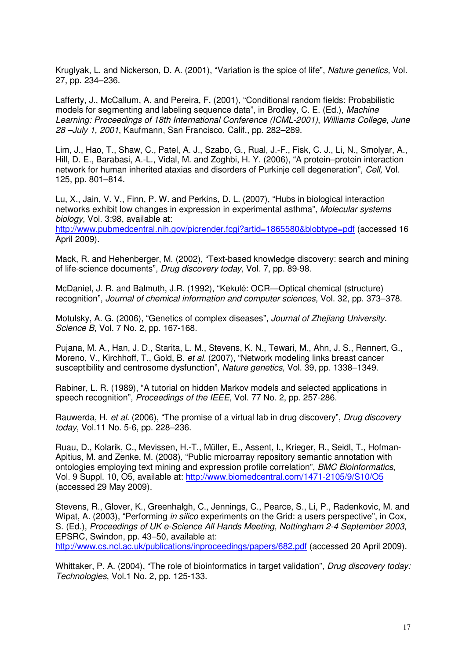Kruglyak, L. and Nickerson, D. A. (2001), "Variation is the spice of life", Nature genetics, Vol. 27, pp. 234–236.

Lafferty, J., McCallum, A. and Pereira, F. (2001), "Conditional random fields: Probabilistic models for segmenting and labeling sequence data", in Brodley, C. E. (Ed.), Machine Learning: Proceedings of 18th International Conference (ICML-2001), Williams College, June 28 –July 1, 2001, Kaufmann, San Francisco, Calif., pp. 282–289.

Lim, J., Hao, T., Shaw, C., Patel, A. J., Szabo, G., Rual, J.-F., Fisk, C. J., Li, N., Smolyar, A., Hill, D. E., Barabasi, A.-L., Vidal, M. and Zoghbi, H. Y. (2006), "A protein–protein interaction network for human inherited ataxias and disorders of Purkinje cell degeneration", Cell, Vol. 125, pp. 801–814.

Lu, X., Jain, V. V., Finn, P. W. and Perkins, D. L. (2007), "Hubs in biological interaction networks exhibit low changes in expression in experimental asthma", Molecular systems biology, Vol. 3:98, available at: http://www.pubmedcentral.nih.gov/picrender.fcgi?artid=1865580&blobtype=pdf (accessed 16 April 2009).

Mack, R. and Hehenberger, M. (2002), "Text-based knowledge discovery: search and mining of life-science documents", Drug discovery today, Vol. 7, pp. 89-98.

McDaniel, J. R. and Balmuth, J.R. (1992), "Kekulé: OCR—Optical chemical (structure) recognition", Journal of chemical information and computer sciences, Vol. 32, pp. 373–378.

Motulsky, A. G. (2006), "Genetics of complex diseases", Journal of Zhejiang University. Science B, Vol. 7 No. 2, pp. 167-168.

Pujana, M. A., Han, J. D., Starita, L. M., Stevens, K. N., Tewari, M., Ahn, J. S., Rennert, G., Moreno, V., Kirchhoff, T., Gold, B. et al. (2007), "Network modeling links breast cancer susceptibility and centrosome dysfunction", Nature genetics, Vol. 39, pp. 1338–1349.

Rabiner, L. R. (1989), "A tutorial on hidden Markov models and selected applications in speech recognition", Proceedings of the IEEE, Vol. 77 No. 2, pp. 257-286.

Rauwerda, H. et al. (2006), "The promise of a virtual lab in drug discovery", *Drug discovery* today, Vol.11 No. 5-6, pp. 228–236.

Ruau, D., Kolarik, C., Mevissen, H.-T., Müller, E., Assent, I., Krieger, R., Seidl, T., Hofman-Apitius, M. and Zenke, M. (2008), "Public microarray repository semantic annotation with ontologies employing text mining and expression profile correlation", BMC Bioinformatics, Vol. 9 Suppl. 10, O5, available at: http://www.biomedcentral.com/1471-2105/9/S10/O5 (accessed 29 May 2009).

Stevens, R., Glover, K., Greenhalgh, C., Jennings, C., Pearce, S., Li, P., Radenkovic, M. and Wipat, A. (2003), "Performing in silico experiments on the Grid: a users perspective", in Cox, S. (Ed.), Proceedings of UK e-Science All Hands Meeting, Nottingham 2-4 September 2003, EPSRC, Swindon, pp. 43–50, available at:

http://www.cs.ncl.ac.uk/publications/inproceedings/papers/682.pdf (accessed 20 April 2009).

Whittaker, P. A. (2004), "The role of bioinformatics in target validation", Drug discovery today: Technologies, Vol.1 No. 2, pp. 125-133.